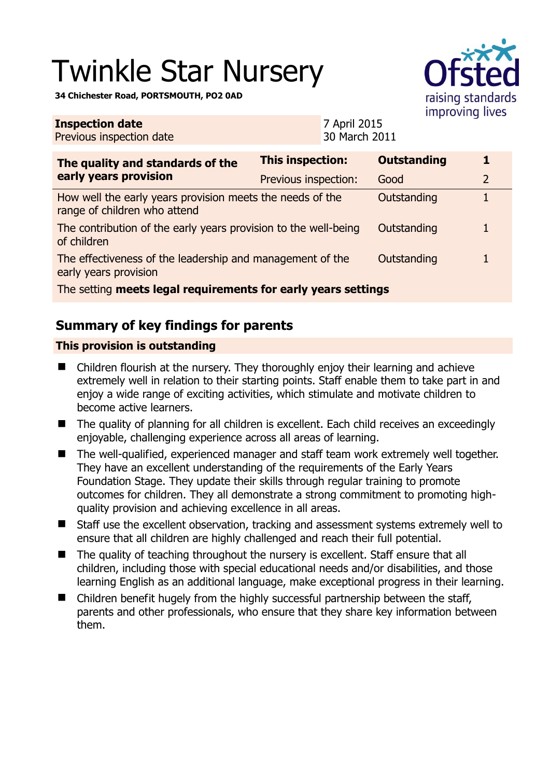# Twinkle Star Nursery

**34 Chichester Road, PORTSMOUTH, PO2 0AD** 

**Inspection date**



| <b>THERECALL</b><br>Previous inspection date                                              | $\overline{I}$ April 2015<br>30 March 2011 |                    |                |  |
|-------------------------------------------------------------------------------------------|--------------------------------------------|--------------------|----------------|--|
| The quality and standards of the<br>early years provision                                 | <b>This inspection:</b>                    | <b>Outstanding</b> | 1              |  |
|                                                                                           | Previous inspection:                       | Good               | $\overline{2}$ |  |
| How well the early years provision meets the needs of the<br>range of children who attend |                                            | Outstanding        | 1              |  |
| The contribution of the early years provision to the well-being<br>of children            |                                            | Outstanding        | 1              |  |
| The effectiveness of the leadership and management of the<br>early years provision        |                                            | Outstanding        |                |  |
| The setting meets legal requirements for early years settings                             |                                            |                    |                |  |

7 April 2015

# **Summary of key findings for parents**

## **This provision is outstanding**

- Children flourish at the nursery. They thoroughly enjoy their learning and achieve extremely well in relation to their starting points. Staff enable them to take part in and enjoy a wide range of exciting activities, which stimulate and motivate children to become active learners.
- The quality of planning for all children is excellent. Each child receives an exceedingly enjoyable, challenging experience across all areas of learning.
- The well-qualified, experienced manager and staff team work extremely well together. They have an excellent understanding of the requirements of the Early Years Foundation Stage. They update their skills through regular training to promote outcomes for children. They all demonstrate a strong commitment to promoting highquality provision and achieving excellence in all areas.
- Staff use the excellent observation, tracking and assessment systems extremely well to ensure that all children are highly challenged and reach their full potential.
- The quality of teaching throughout the nursery is excellent. Staff ensure that all children, including those with special educational needs and/or disabilities, and those learning English as an additional language, make exceptional progress in their learning.
- Children benefit hugely from the highly successful partnership between the staff, parents and other professionals, who ensure that they share key information between them.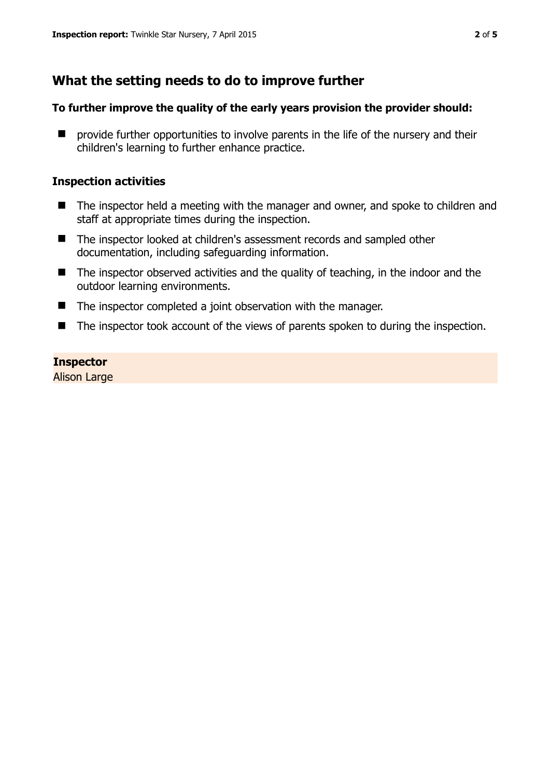## **What the setting needs to do to improve further**

#### **To further improve the quality of the early years provision the provider should:**

**P** provide further opportunities to involve parents in the life of the nursery and their children's learning to further enhance practice.

#### **Inspection activities**

- The inspector held a meeting with the manager and owner, and spoke to children and staff at appropriate times during the inspection.
- The inspector looked at children's assessment records and sampled other documentation, including safeguarding information.
- The inspector observed activities and the quality of teaching, in the indoor and the outdoor learning environments.
- The inspector completed a joint observation with the manager.
- The inspector took account of the views of parents spoken to during the inspection.

#### **Inspector**

Alison Large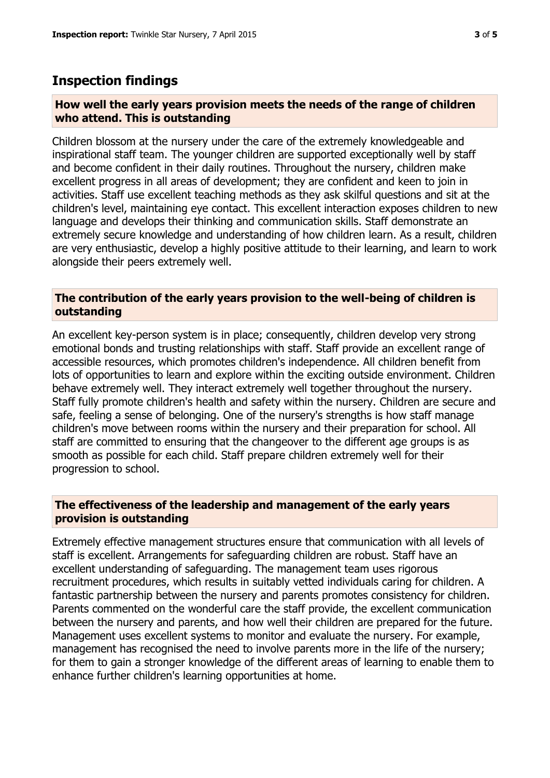## **Inspection findings**

#### **How well the early years provision meets the needs of the range of children who attend. This is outstanding**

Children blossom at the nursery under the care of the extremely knowledgeable and inspirational staff team. The younger children are supported exceptionally well by staff and become confident in their daily routines. Throughout the nursery, children make excellent progress in all areas of development; they are confident and keen to join in activities. Staff use excellent teaching methods as they ask skilful questions and sit at the children's level, maintaining eye contact. This excellent interaction exposes children to new language and develops their thinking and communication skills. Staff demonstrate an extremely secure knowledge and understanding of how children learn. As a result, children are very enthusiastic, develop a highly positive attitude to their learning, and learn to work alongside their peers extremely well.

#### **The contribution of the early years provision to the well-being of children is outstanding**

An excellent key-person system is in place; consequently, children develop very strong emotional bonds and trusting relationships with staff. Staff provide an excellent range of accessible resources, which promotes children's independence. All children benefit from lots of opportunities to learn and explore within the exciting outside environment. Children behave extremely well. They interact extremely well together throughout the nursery. Staff fully promote children's health and safety within the nursery. Children are secure and safe, feeling a sense of belonging. One of the nursery's strengths is how staff manage children's move between rooms within the nursery and their preparation for school. All staff are committed to ensuring that the changeover to the different age groups is as smooth as possible for each child. Staff prepare children extremely well for their progression to school.

#### **The effectiveness of the leadership and management of the early years provision is outstanding**

Extremely effective management structures ensure that communication with all levels of staff is excellent. Arrangements for safeguarding children are robust. Staff have an excellent understanding of safeguarding. The management team uses rigorous recruitment procedures, which results in suitably vetted individuals caring for children. A fantastic partnership between the nursery and parents promotes consistency for children. Parents commented on the wonderful care the staff provide, the excellent communication between the nursery and parents, and how well their children are prepared for the future. Management uses excellent systems to monitor and evaluate the nursery. For example, management has recognised the need to involve parents more in the life of the nursery; for them to gain a stronger knowledge of the different areas of learning to enable them to enhance further children's learning opportunities at home.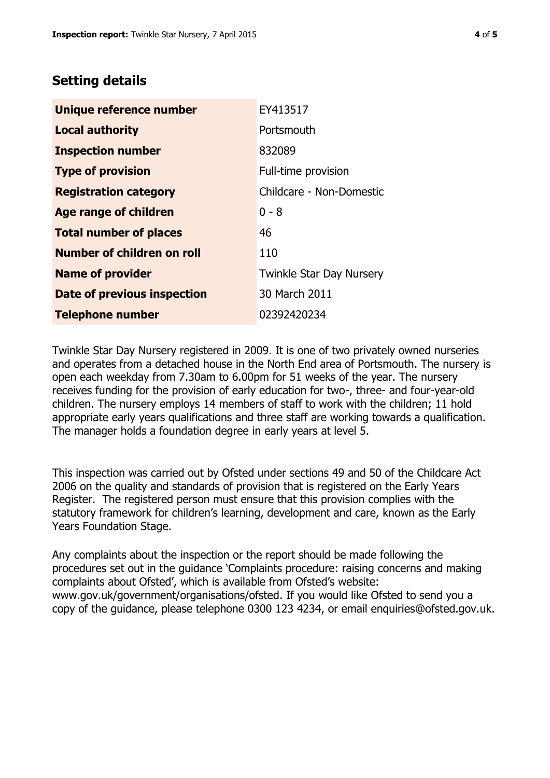## **Setting details**

| Unique reference number       | EY413517                        |
|-------------------------------|---------------------------------|
| <b>Local authority</b>        | Portsmouth                      |
| <b>Inspection number</b>      | 832089                          |
| <b>Type of provision</b>      | Full-time provision             |
| <b>Registration category</b>  | Childcare - Non-Domestic        |
| Age range of children         | $0 - 8$                         |
| <b>Total number of places</b> | 46                              |
| Number of children on roll    | 110                             |
| <b>Name of provider</b>       | <b>Twinkle Star Day Nursery</b> |
| Date of previous inspection   | 30 March 2011                   |
| <b>Telephone number</b>       | 02392420234                     |

Twinkle Star Day Nursery registered in 2009. It is one of two privately owned nurseries and operates from a detached house in the North End area of Portsmouth. The nursery is open each weekday from 7.30am to 6.00pm for 51 weeks of the year. The nursery receives funding for the provision of early education for two-, three- and four-year-old children. The nursery employs 14 members of staff to work with the children; 11 hold appropriate early years qualifications and three staff are working towards a qualification. The manager holds a foundation degree in early years at level 5.

This inspection was carried out by Ofsted under sections 49 and 50 of the Childcare Act 2006 on the quality and standards of provision that is registered on the Early Years Register. The registered person must ensure that this provision complies with the statutory framework for children's learning, development and care, known as the Early Years Foundation Stage.

Any complaints about the inspection or the report should be made following the procedures set out in the guidance 'Complaints procedure: raising concerns and making complaints about Ofsted', which is available from Ofsted's website: www.gov.uk/government/organisations/ofsted. If you would like Ofsted to send you a copy of the guidance, please telephone 0300 123 4234, or email enquiries@ofsted.gov.uk.